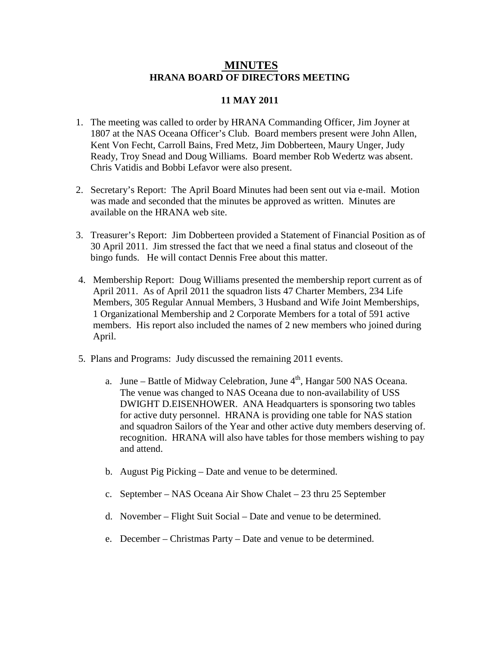## **MINUTES HRANA BOARD OF DIRECTORS MEETING**

## **11 MAY 2011**

- 1. The meeting was called to order by HRANA Commanding Officer, Jim Joyner at 1807 at the NAS Oceana Officer's Club. Board members present were John Allen, Kent Von Fecht, Carroll Bains, Fred Metz, Jim Dobberteen, Maury Unger, Judy Ready, Troy Snead and Doug Williams. Board member Rob Wedertz was absent. Chris Vatidis and Bobbi Lefavor were also present.
- 2. Secretary's Report: The April Board Minutes had been sent out via e-mail. Motion was made and seconded that the minutes be approved as written. Minutes are available on the HRANA web site.
- 3. Treasurer's Report: Jim Dobberteen provided a Statement of Financial Position as of 30 April 2011. Jim stressed the fact that we need a final status and closeout of the bingo funds. He will contact Dennis Free about this matter.
- 4. Membership Report: Doug Williams presented the membership report current as of April 2011. As of April 2011 the squadron lists 47 Charter Members, 234 Life Members, 305 Regular Annual Members, 3 Husband and Wife Joint Memberships, 1 Organizational Membership and 2 Corporate Members for a total of 591 active members. His report also included the names of 2 new members who joined during April.
- 5. Plans and Programs: Judy discussed the remaining 2011 events.
	- a. June Battle of Midway Celebration, June  $4<sup>th</sup>$ , Hangar 500 NAS Oceana. The venue was changed to NAS Oceana due to non-availability of USS DWIGHT D.EISENHOWER. ANA Headquarters is sponsoring two tables for active duty personnel. HRANA is providing one table for NAS station and squadron Sailors of the Year and other active duty members deserving of. recognition. HRANA will also have tables for those members wishing to pay and attend.
	- b. August Pig Picking Date and venue to be determined.
	- c. September NAS Oceana Air Show Chalet 23 thru 25 September
	- d. November Flight Suit Social Date and venue to be determined.
	- e. December Christmas Party Date and venue to be determined.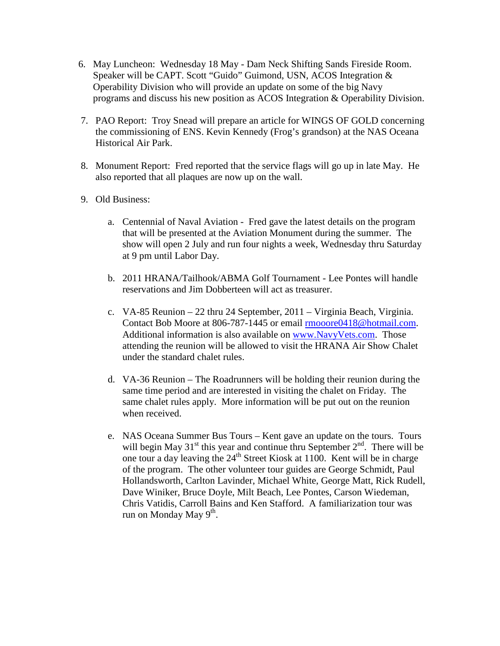- 6. May Luncheon: Wednesday 18 May Dam Neck Shifting Sands Fireside Room. Speaker will be CAPT. Scott "Guido" Guimond, USN, ACOS Integration & Operability Division who will provide an update on some of the big Navy programs and discuss his new position as ACOS Integration & Operability Division.
- 7. PAO Report: Troy Snead will prepare an article for WINGS OF GOLD concerning the commissioning of ENS. Kevin Kennedy (Frog's grandson) at the NAS Oceana Historical Air Park.
- 8. Monument Report: Fred reported that the service flags will go up in late May. He also reported that all plaques are now up on the wall.
- 9. Old Business:
	- a. Centennial of Naval Aviation Fred gave the latest details on the program that will be presented at the Aviation Monument during the summer. The show will open 2 July and run four nights a week, Wednesday thru Saturday at 9 pm until Labor Day.
	- b. 2011 HRANA/Tailhook/ABMA Golf Tournament Lee Pontes will handle reservations and Jim Dobberteen will act as treasurer.
	- c. VA-85 Reunion 22 thru 24 September, 2011 Virginia Beach, Virginia. Contact Bob Moore at 806-787-1445 or email [rmooore0418@hotmail.com.](mailto:rmooore0418@hotmail.com) Additional information is also available on [www.NavyVets.com.](http://www.navyvets.com/) Those attending the reunion will be allowed to visit the HRANA Air Show Chalet under the standard chalet rules.
	- d. VA-36 Reunion The Roadrunners will be holding their reunion during the same time period and are interested in visiting the chalet on Friday. The same chalet rules apply. More information will be put out on the reunion when received.
	- e. NAS Oceana Summer Bus Tours Kent gave an update on the tours. Tours will begin May  $31<sup>st</sup>$  this year and continue thru September  $2<sup>nd</sup>$ . There will be one tour a day leaving the  $24<sup>th</sup>$  Street Kiosk at 1100. Kent will be in charge of the program. The other volunteer tour guides are George Schmidt, Paul Hollandsworth, Carlton Lavinder, Michael White, George Matt, Rick Rudell, Dave Winiker, Bruce Doyle, Milt Beach, Lee Pontes, Carson Wiedeman, Chris Vatidis, Carroll Bains and Ken Stafford. A familiarization tour was run on Monday May  $9<sup>th</sup>$ .